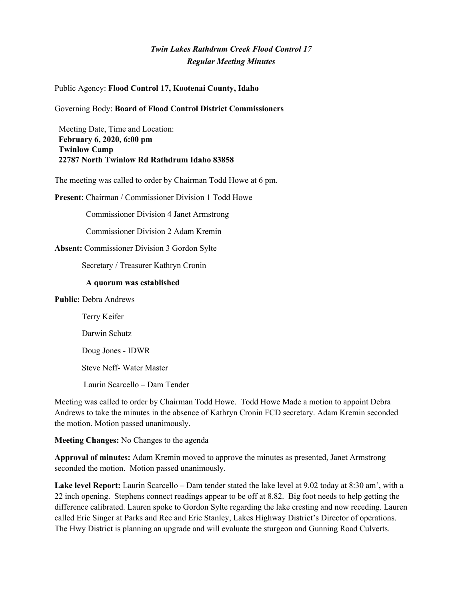# *Twin Lakes Rathdrum Creek Flood Control 17 Regular Meeting Minutes*

### Public Agency: **Flood Control 17, Kootenai County, Idaho**

### Governing Body: **Board of Flood Control District Commissioners**

Meeting Date, Time and Location: **February 6, 2020, 6:00 pm Twinlow Camp 22787 North Twinlow Rd Rathdrum Idaho 83858**

The meeting was called to order by Chairman Todd Howe at 6 pm.

**Present**: Chairman / Commissioner Division 1 Todd Howe

Commissioner Division 4 Janet Armstrong

Commissioner Division 2 Adam Kremin

#### **Absent:** Commissioner Division 3 Gordon Sylte

Secretary / Treasurer Kathryn Cronin

#### **A quorum was established**

### **Public:** Debra Andrews

Terry Keifer

Darwin Schutz

Doug Jones - IDWR

Steve Neff- Water Master

Laurin Scarcello – Dam Tender

Meeting was called to order by Chairman Todd Howe. Todd Howe Made a motion to appoint Debra Andrews to take the minutes in the absence of Kathryn Cronin FCD secretary. Adam Kremin seconded the motion. Motion passed unanimously.

**Meeting Changes:** No Changes to the agenda

**Approval of minutes:** Adam Kremin moved to approve the minutes as presented, Janet Armstrong seconded the motion. Motion passed unanimously.

**Lake level Report:** Laurin Scarcello – Dam tender stated the lake level at 9.02 today at 8:30 am', with a 22 inch opening. Stephens connect readings appear to be off at 8.82. Big foot needs to help getting the difference calibrated. Lauren spoke to Gordon Sylte regarding the lake cresting and now receding. Lauren called Eric Singer at Parks and Rec and Eric Stanley, Lakes Highway District's Director of operations. The Hwy District is planning an upgrade and will evaluate the sturgeon and Gunning Road Culverts.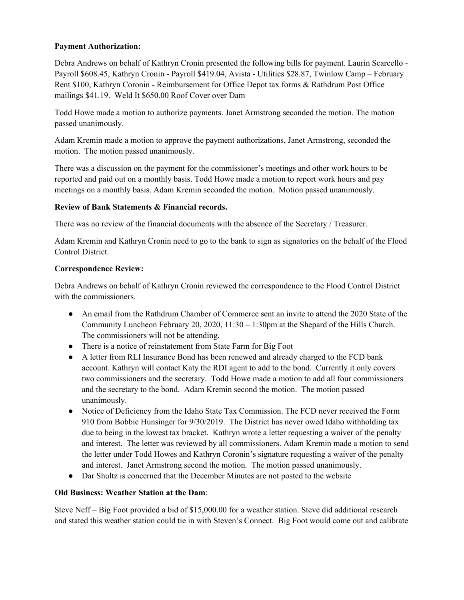# **Payment Authorization:**

Debra Andrews on behalf of Kathryn Cronin presented the following bills for payment. Laurin Scarcello - Payroll \$608.45, Kathryn Cronin - Payroll \$419.04, Avista - Utilities \$28.87, Twinlow Camp – February Rent \$100, Kathryn Coronin - Reimbursement for Office Depot tax forms & Rathdrum Post Office mailings \$41.19. Weld It \$650.00 Roof Cover over Dam

Todd Howe made a motion to authorize payments. Janet Armstrong seconded the motion. The motion passed unanimously.

Adam Kremin made a motion to approve the payment authorizations, Janet Armstrong, seconded the motion. The motion passed unanimously.

There was a discussion on the payment for the commissioner's meetings and other work hours to be reported and paid out on a monthly basis. Todd Howe made a motion to report work hours and pay meetings on a monthly basis. Adam Kremin seconded the motion. Motion passed unanimously.

# **Review of Bank Statements & Financial records.**

There was no review of the financial documents with the absence of the Secretary / Treasurer.

Adam Kremin and Kathryn Cronin need to go to the bank to sign as signatories on the behalf of the Flood Control District.

# **Correspondence Review:**

Debra Andrews on behalf of Kathryn Cronin reviewed the correspondence to the Flood Control District with the commissioners.

- An email from the Rathdrum Chamber of Commerce sent an invite to attend the 2020 State of the Community Luncheon February 20, 2020, 11:30 – 1:30pm at the Shepard of the Hills Church. The commissioners will not be attending.
- There is a notice of reinstatement from State Farm for Big Foot
- A letter from RLI Insurance Bond has been renewed and already charged to the FCD bank account. Kathryn will contact Katy the RDI agent to add to the bond. Currently it only covers two commissioners and the secretary. Todd Howe made a motion to add all four commissioners and the secretary to the bond. Adam Kremin second the motion. The motion passed unanimously.
- Notice of Deficiency from the Idaho State Tax Commission. The FCD never received the Form 910 from Bobbie Hunsinger for 9/30/2019. The District has never owed Idaho withholding tax due to being in the lowest tax bracket. Kathryn wrote a letter requesting a waiver of the penalty and interest. The letter was reviewed by all commissioners. Adam Kremin made a motion to send the letter under Todd Howes and Kathryn Coronin's signature requesting a waiver of the penalty and interest. Janet Armstrong second the motion. The motion passed unanimously.
- **●** Dar Shultz is concerned that the December Minutes are not posted to the website

# **Old Business: Weather Station at the Dam**:

Steve Neff – Big Foot provided a bid of \$15,000.00 for a weather station. Steve did additional research and stated this weather station could tie in with Steven's Connect. Big Foot would come out and calibrate